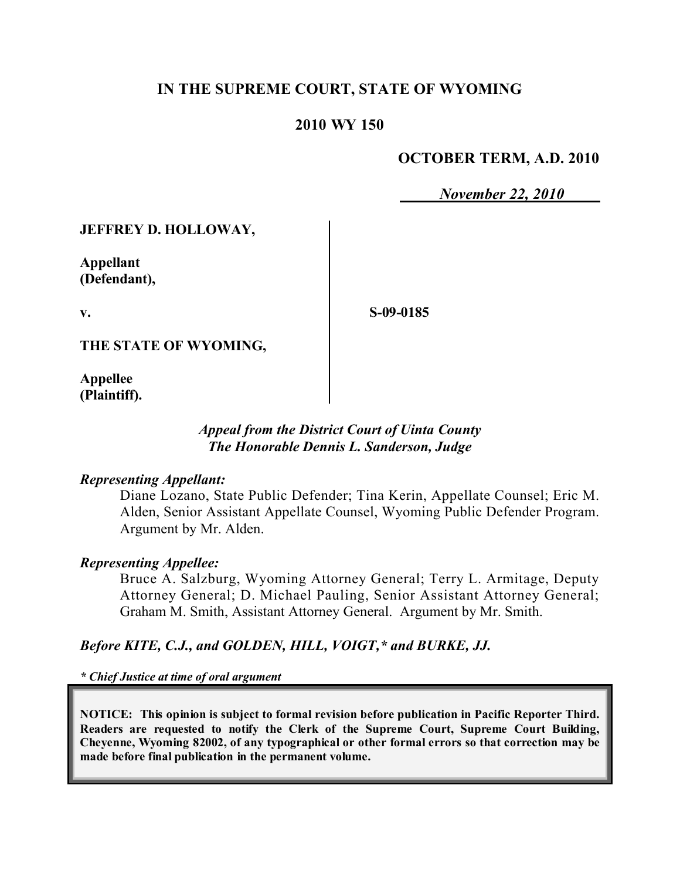# **IN THE SUPREME COURT, STATE OF WYOMING**

### **2010 WY 150**

### **OCTOBER TERM, A.D. 2010**

*November 22, 2010*

#### **JEFFREY D. HOLLOWAY,**

**Appellant (Defendant),**

**v.**

**S-09-0185**

**THE STATE OF WYOMING,**

**Appellee (Plaintiff).**

### *Appeal from the District Court of Uinta County The Honorable Dennis L. Sanderson, Judge*

#### *Representing Appellant:*

Diane Lozano, State Public Defender; Tina Kerin, Appellate Counsel; Eric M. Alden, Senior Assistant Appellate Counsel, Wyoming Public Defender Program. Argument by Mr. Alden.

#### *Representing Appellee:*

Bruce A. Salzburg, Wyoming Attorney General; Terry L. Armitage, Deputy Attorney General; D. Michael Pauling, Senior Assistant Attorney General; Graham M. Smith, Assistant Attorney General. Argument by Mr. Smith.

#### *Before KITE, C.J., and GOLDEN, HILL, VOIGT,\* and BURKE, JJ.*

*\* Chief Justice at time of oral argument*

**NOTICE: This opinion is subject to formal revision before publication in Pacific Reporter Third. Readers are requested to notify the Clerk of the Supreme Court, Supreme Court Building, Cheyenne, Wyoming 82002, of any typographical or other formal errors so that correction may be made before final publication in the permanent volume.**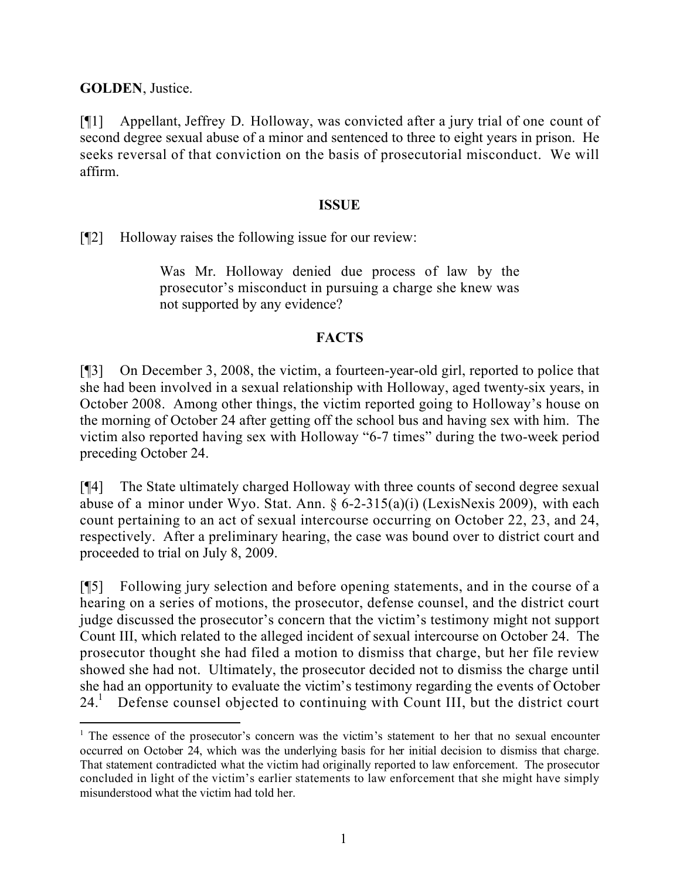**GOLDEN**, Justice.

[¶1] Appellant, Jeffrey D. Holloway, was convicted after a jury trial of one count of second degree sexual abuse of a minor and sentenced to three to eight years in prison. He seeks reversal of that conviction on the basis of prosecutorial misconduct. We will affirm.

## **ISSUE**

[¶2] Holloway raises the following issue for our review:

 $\overline{a}$ 

Was Mr. Holloway denied due process of law by the prosecutor's misconduct in pursuing a charge she knew was not supported by any evidence?

# **FACTS**

[¶3] On December 3, 2008, the victim, a fourteen-year-old girl, reported to police that she had been involved in a sexual relationship with Holloway, aged twenty-six years, in October 2008. Among other things, the victim reported going to Holloway's house on the morning of October 24 after getting off the school bus and having sex with him. The victim also reported having sex with Holloway "6-7 times" during the two-week period preceding October 24.

[¶4] The State ultimately charged Holloway with three counts of second degree sexual abuse of a minor under Wyo. Stat. Ann. § 6-2-315(a)(i) (LexisNexis 2009), with each count pertaining to an act of sexual intercourse occurring on October 22, 23, and 24, respectively. After a preliminary hearing, the case was bound over to district court and proceeded to trial on July 8, 2009.

[¶5] Following jury selection and before opening statements, and in the course of a hearing on a series of motions, the prosecutor, defense counsel, and the district court judge discussed the prosecutor's concern that the victim's testimony might not support Count III, which related to the alleged incident of sexual intercourse on October 24. The prosecutor thought she had filed a motion to dismiss that charge, but her file review showed she had not. Ultimately, the prosecutor decided not to dismiss the charge until she had an opportunity to evaluate the victim's testimony regarding the events of October  $24<sup>1</sup>$  Defense counsel objected to continuing with Count III, but the district court

<sup>&</sup>lt;sup>1</sup> The essence of the prosecutor's concern was the victim's statement to her that no sexual encounter occurred on October 24, which was the underlying basis for her initial decision to dismiss that charge. That statement contradicted what the victim had originally reported to law enforcement. The prosecutor concluded in light of the victim's earlier statements to law enforcement that she might have simply misunderstood what the victim had told her.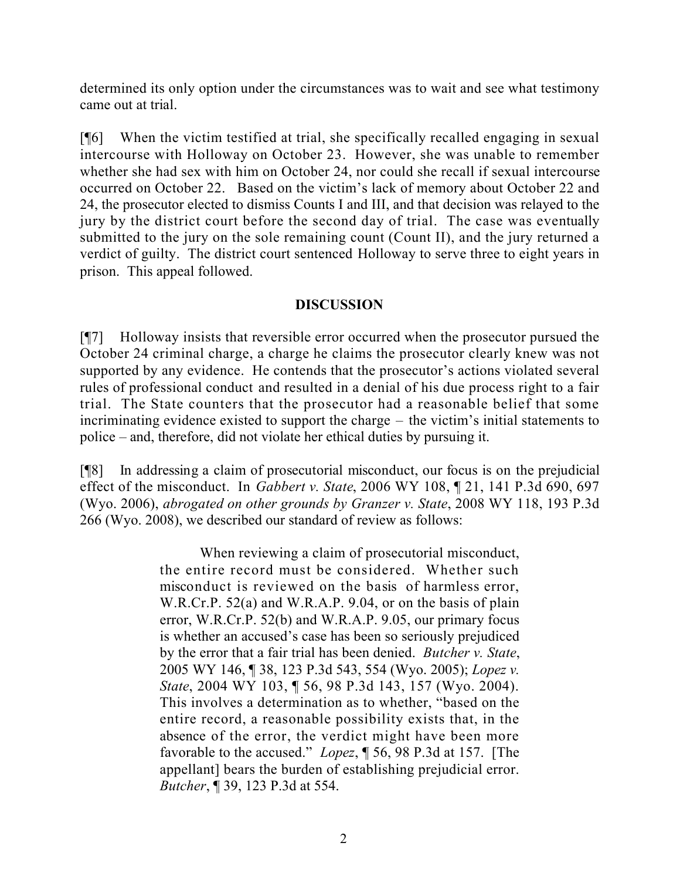determined its only option under the circumstances was to wait and see what testimony came out at trial.

[¶6] When the victim testified at trial, she specifically recalled engaging in sexual intercourse with Holloway on October 23. However, she was unable to remember whether she had sex with him on October 24, nor could she recall if sexual intercourse occurred on October 22. Based on the victim's lack of memory about October 22 and 24, the prosecutor elected to dismiss Counts I and III, and that decision was relayed to the jury by the district court before the second day of trial. The case was eventually submitted to the jury on the sole remaining count (Count II), and the jury returned a verdict of guilty. The district court sentenced Holloway to serve three to eight years in prison. This appeal followed.

# **DISCUSSION**

[¶7] Holloway insists that reversible error occurred when the prosecutor pursued the October 24 criminal charge, a charge he claims the prosecutor clearly knew was not supported by any evidence. He contends that the prosecutor's actions violated several rules of professional conduct and resulted in a denial of his due process right to a fair trial. The State counters that the prosecutor had a reasonable belief that some incriminating evidence existed to support the charge – the victim's initial statements to police – and, therefore, did not violate her ethical duties by pursuing it.

[¶8] In addressing a claim of prosecutorial misconduct, our focus is on the prejudicial effect of the misconduct. In *Gabbert v. State*, 2006 WY 108, ¶ 21, 141 P.3d 690, 697 (Wyo. 2006), *abrogated on other grounds by Granzer v. State*, 2008 WY 118, 193 P.3d 266 (Wyo. 2008), we described our standard of review as follows:

> When reviewing a claim of prosecutorial misconduct, the entire record must be considered. Whether such misconduct is reviewed on the basis of harmless error, W.R.Cr.P. 52(a) and W.R.A.P. 9.04, or on the basis of plain error, W.R.Cr.P. 52(b) and W.R.A.P. 9.05, our primary focus is whether an accused's case has been so seriously prejudiced by the error that a fair trial has been denied. *Butcher v. State*, 2005 WY 146, ¶ 38, 123 P.3d 543, 554 (Wyo. 2005); *Lopez v. State*, 2004 WY 103, ¶ 56, 98 P.3d 143, 157 (Wyo. 2004). This involves a determination as to whether, "based on the entire record, a reasonable possibility exists that, in the absence of the error, the verdict might have been more favorable to the accused." *Lopez*, ¶ 56, 98 P.3d at 157. [The appellant] bears the burden of establishing prejudicial error. *Butcher*, ¶ 39, 123 P.3d at 554.